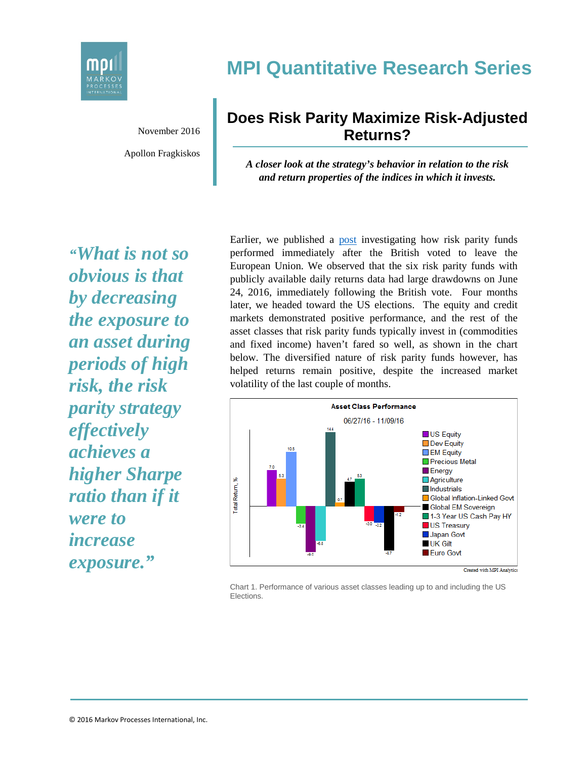

## **MPI Quantitative Research Series**

November 2016 Apollon Fragkiskos

## **Does Risk Parity Maximize Risk-Adjusted Returns?**

*A closer look at the strategy's behavior in relation to the risk and return properties of the indices in which it invests.*

*"What is not so obvious is that by decreasing the exposure to an asset during periods of high risk, the risk parity strategy effectively achieves a higher Sharpe ratio than if it were to increase exposure."*

Earlier, we published a [post](http://markovprocesses.com/blog/2016/07/risk-parity-and-brexit-a-volatility-surprise/) investigating how risk parity funds performed immediately after the British voted to leave the European Union. We observed that the six risk parity funds with publicly available daily returns data had large drawdowns on June 24, 2016, immediately following the British vote. Four months later, we headed toward the US elections. The equity and credit markets demonstrated positive performance, and the rest of the asset classes that risk parity funds typically invest in (commodities and fixed income) haven't fared so well, as shown in the chart below. The diversified nature of risk parity funds however, has helped returns remain positive, despite the increased market volatility of the last couple of months.



Chart 1. Performance of various asset classes leading up to and including the US **Elections**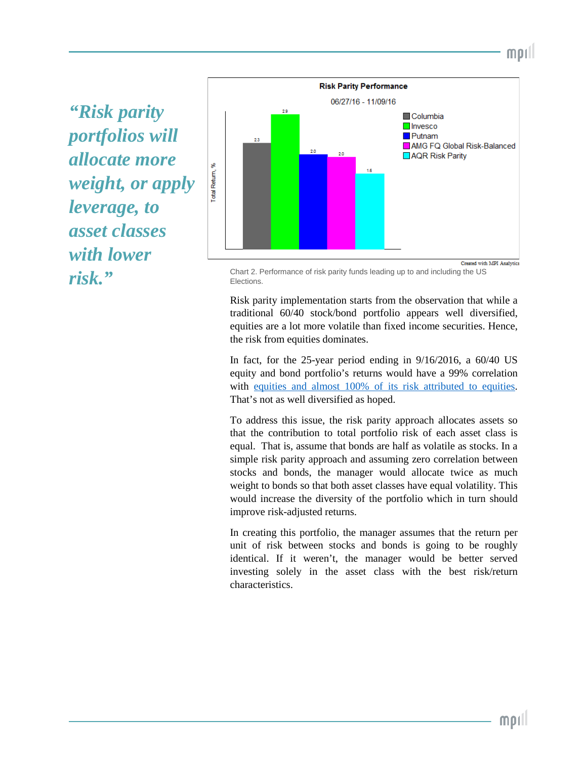*"Risk parity portfolios will allocate more weight, or apply leverage, to asset classes with lower* 



**risk.**"<br>Flections. Flections. Elections.

Risk parity implementation starts from the observation that while a traditional 60/40 stock/bond portfolio appears well diversified, equities are a lot more volatile than fixed income securities. Hence, the risk from equities dominates.

In fact, for the 25-year period ending in 9/16/2016, a 60/40 US equity and bond portfolio's returns would have a 99% correlation with [equities](http://www.bwater.com/resources/our-thoughts-about-risk-parity-and-all-weather.pdf) and almost 100% of its risk attributed to equities. That's not as well diversified as hoped.

To address this issue, the risk parity approach allocates assets so that the contribution to total portfolio risk of each asset class is equal. That is, assume that bonds are half as volatile as stocks. In a simple risk parity approach and assuming zero correlation between stocks and bonds, the manager would allocate twice as much weight to bonds so that both asset classes have equal volatility. This would increase the diversity of the portfolio which in turn should improve risk-adjusted returns.

In creating this portfolio, the manager assumes that the return per unit of risk between stocks and bonds is going to be roughly identical. If it weren't, the manager would be better served investing solely in the asset class with the best risk/return characteristics.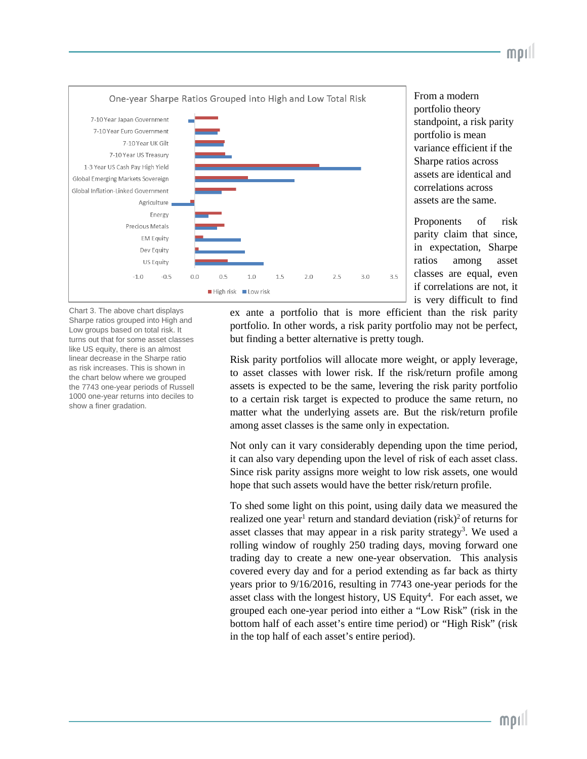

From a modern portfolio theory standpoint, a risk parity portfolio is mean variance efficient if the Sharpe ratios across assets are identical and correlations across assets are the same.

mor

Proponents of risk parity claim that since, in expectation, Sharpe ratios among asset classes are equal, even if correlations are not, it is very difficult to find

Chart 3. The above chart displays Sharpe ratios grouped into High and Low groups based on total risk. It turns out that for some asset classes like US equity, there is an almost linear decrease in the Sharpe ratio as risk increases. This is shown in the chart below where we grouped the 7743 one-year periods of Russell 1000 one-year returns into deciles to show a finer gradation.

ex ante a portfolio that is more efficient than the risk parity portfolio. In other words, a risk parity portfolio may not be perfect, but finding a better alternative is pretty tough.

Risk parity portfolios will allocate more weight, or apply leverage, to asset classes with lower risk. If the risk/return profile among assets is expected to be the same, levering the risk parity portfolio to a certain risk target is expected to produce the same return, no matter what the underlying assets are. But the risk/return profile among asset classes is the same only in expectation.

Not only can it vary considerably depending upon the time period, it can also vary depending upon the level of risk of each asset class. Since risk parity assigns more weight to low risk assets, one would hope that such assets would have the better risk/return profile.

To shed some light on this point, using daily data we measured the realized one year<sup>1</sup> return and standard deviation (risk)<sup>2</sup> of returns for asset classes that may appear in a risk parity strategy<sup>3</sup>. We used a rolling window of roughly 250 trading days, moving forward one trading day to create a new one-year observation. This analysis covered every day and for a period extending as far back as thirty years prior to 9/16/2016, resulting in 7743 one-year periods for the asset class with the longest history, US Equity<sup>4</sup>. For each asset, we grouped each one-year period into either a "Low Risk" (risk in the bottom half of each asset's entire time period) or "High Risk" (risk in the top half of each asset's entire period).

 $MDI$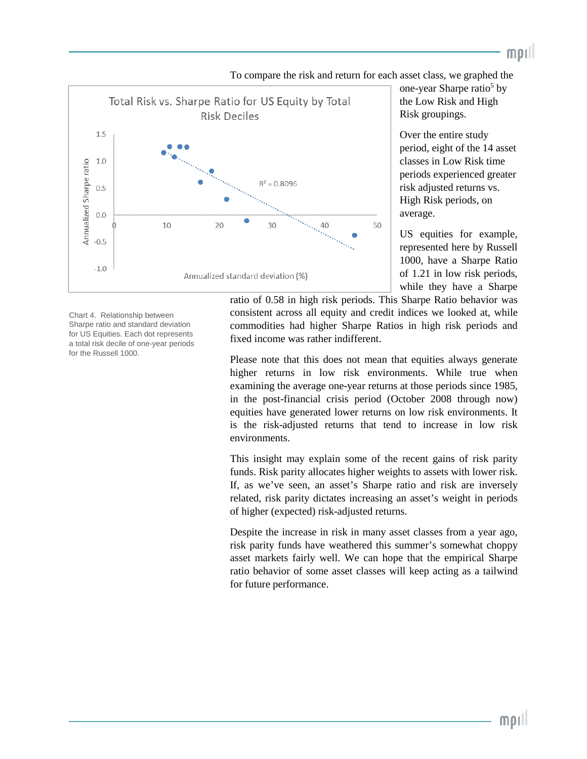

To compare the risk and return for each asset class, we graphed the

one-year Sharpe ratio<sup>5</sup> by the Low Risk and High Risk groupings.

mpıll

Over the entire study period, eight of the 14 asset classes in Low Risk time periods experienced greater risk adjusted returns vs. High Risk periods, on average.

US equities for example, represented here by Russell 1000, have a Sharpe Ratio of 1.21 in low risk periods, while they have a Sharpe

Chart 4. Relationship between Sharpe ratio and standard deviation for US Equities. Each dot represents a total risk decile of one-year periods for the Russell 1000.

ratio of 0.58 in high risk periods. This Sharpe Ratio behavior was consistent across all equity and credit indices we looked at, while commodities had higher Sharpe Ratios in high risk periods and fixed income was rather indifferent.

Please note that this does not mean that equities always generate higher returns in low risk environments. While true when examining the average one-year returns at those periods since 1985, in the post-financial crisis period (October 2008 through now) equities have generated lower returns on low risk environments. It is the risk-adjusted returns that tend to increase in low risk environments.

This insight may explain some of the recent gains of risk parity funds. Risk parity allocates higher weights to assets with lower risk. If, as we've seen, an asset's Sharpe ratio and risk are inversely related, risk parity dictates increasing an asset's weight in periods of higher (expected) risk-adjusted returns.

Despite the increase in risk in many asset classes from a year ago, risk parity funds have weathered this summer's somewhat choppy asset markets fairly well. We can hope that the empirical Sharpe ratio behavior of some asset classes will keep acting as a tailwind for future performance.